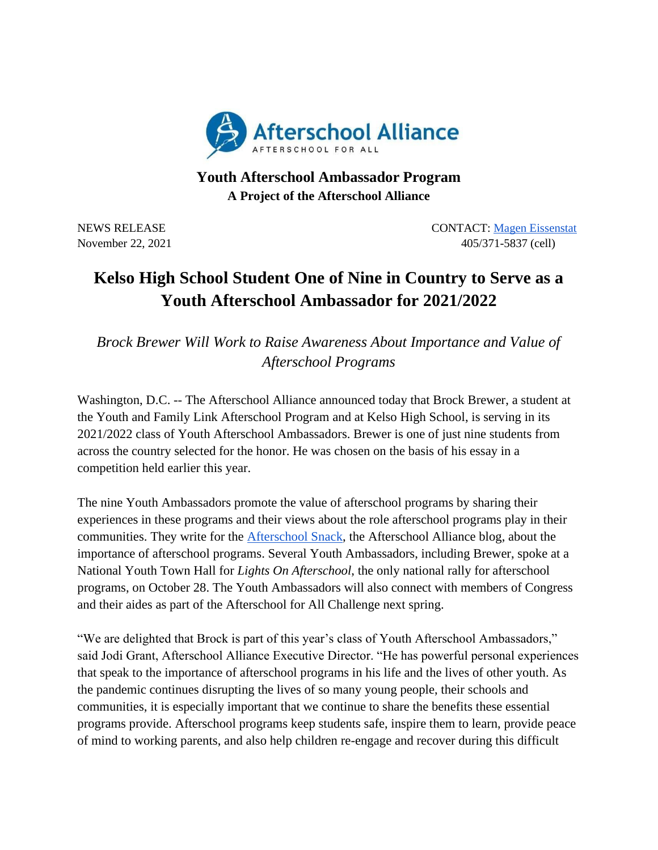

## **Youth Afterschool Ambassador Program A Project of the Afterschool Alliance**

NEWS RELEASE CONTACT: [Magen Eissenstat](mailto:magen@prsolutionsdc.com) November 22, 2021 405/371-5837 (cell)

## **Kelso High School Student One of Nine in Country to Serve as a Youth Afterschool Ambassador for 2021/2022**

*Brock Brewer Will Work to Raise Awareness About Importance and Value of Afterschool Programs*

Washington, D.C. -- The Afterschool Alliance announced today that Brock Brewer, a student at the Youth and Family Link Afterschool Program and at Kelso High School, is serving in its 2021/2022 class of Youth Afterschool Ambassadors. Brewer is one of just nine students from across the country selected for the honor. He was chosen on the basis of his essay in a competition held earlier this year.

The nine Youth Ambassadors promote the value of afterschool programs by sharing their experiences in these programs and their views about the role afterschool programs play in their communities. They write for the [Afterschool Snack,](http://www.afterschoolalliance.org/afterschoolsnack/ASnack.cfm) the Afterschool Alliance blog, about the importance of afterschool programs. Several Youth Ambassadors, including Brewer, spoke at a National Youth Town Hall for *Lights On Afterschool*, the only national rally for afterschool programs, on October 28. The Youth Ambassadors will also connect with members of Congress and their aides as part of the Afterschool for All Challenge next spring.

"We are delighted that Brock is part of this year's class of Youth Afterschool Ambassadors," said Jodi Grant, Afterschool Alliance Executive Director. "He has powerful personal experiences that speak to the importance of afterschool programs in his life and the lives of other youth. As the pandemic continues disrupting the lives of so many young people, their schools and communities, it is especially important that we continue to share the benefits these essential programs provide. Afterschool programs keep students safe, inspire them to learn, provide peace of mind to working parents, and also help children re-engage and recover during this difficult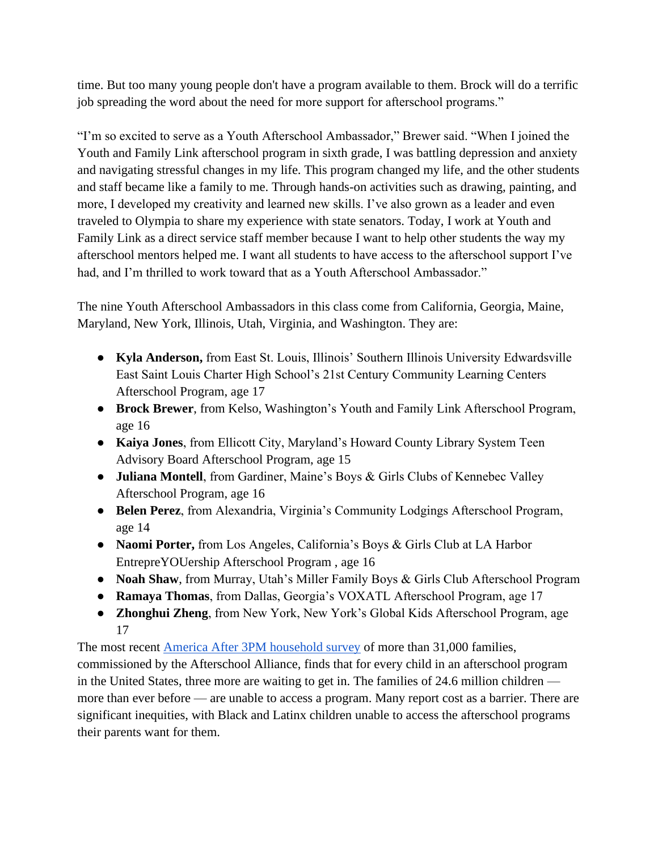time. But too many young people don't have a program available to them. Brock will do a terrific job spreading the word about the need for more support for afterschool programs."

"I'm so excited to serve as a Youth Afterschool Ambassador," Brewer said. "When I joined the Youth and Family Link afterschool program in sixth grade, I was battling depression and anxiety and navigating stressful changes in my life. This program changed my life, and the other students and staff became like a family to me. Through hands-on activities such as drawing, painting, and more, I developed my creativity and learned new skills. I've also grown as a leader and even traveled to Olympia to share my experience with state senators. Today, I work at Youth and Family Link as a direct service staff member because I want to help other students the way my afterschool mentors helped me. I want all students to have access to the afterschool support I've had, and I'm thrilled to work toward that as a Youth Afterschool Ambassador."

The nine Youth Afterschool Ambassadors in this class come from California, Georgia, Maine, Maryland, New York, Illinois, Utah, Virginia, and Washington. They are:

- **Kyla Anderson,** from East St. Louis, Illinois' Southern Illinois University Edwardsville East Saint Louis Charter High School's 21st Century Community Learning Centers Afterschool Program, age 17
- **Brock Brewer**, from Kelso, Washington's Youth and Family Link Afterschool Program, age 16
- **Kaiya Jones**, from Ellicott City, Maryland's Howard County Library System Teen Advisory Board Afterschool Program, age 15
- **Juliana Montell**, from Gardiner, Maine's Boys & Girls Clubs of Kennebec Valley Afterschool Program, age 16
- **Belen Perez**, from Alexandria, Virginia's Community Lodgings Afterschool Program, age 14
- **Naomi Porter,** from Los Angeles, California's Boys & Girls Club at LA Harbor EntrepreYOUership Afterschool Program , age 16
- **Noah Shaw**, from Murray, Utah's Miller Family Boys & Girls Club Afterschool Program
- **Ramaya Thomas**, from Dallas, Georgia's VOXATL Afterschool Program, age 17
- **Zhonghui Zheng**, from New York, New York's Global Kids Afterschool Program, age 17

The most recent [America After 3PM household survey](http://www.afterschoolalliance.org/AA3PM/) of more than 31,000 families, commissioned by the Afterschool Alliance, finds that for every child in an afterschool program in the United States, three more are waiting to get in. The families of 24.6 million children more than ever before — are unable to access a program. Many report cost as a barrier. There are significant inequities, with Black and Latinx children unable to access the afterschool programs their parents want for them.